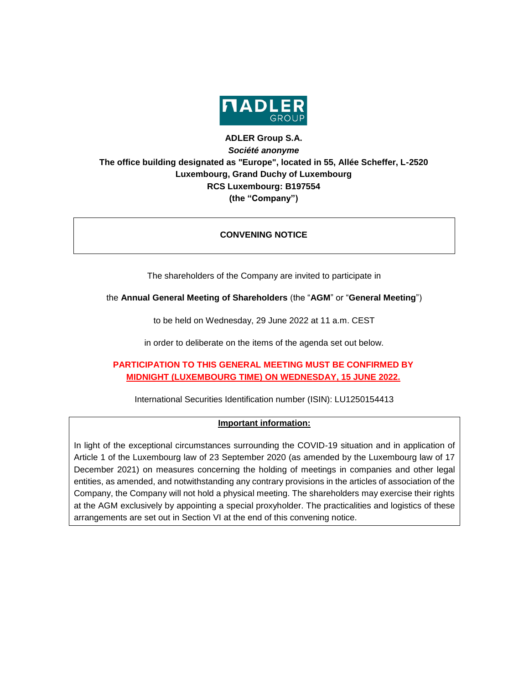

# **ADLER Group S.A.** *Société anonyme* **The office building designated as "Europe", located in 55, Allée Scheffer, L-2520 Luxembourg, Grand Duchy of Luxembourg RCS Luxembourg: B197554 (the "Company")**

### **CONVENING NOTICE**

The shareholders of the Company are invited to participate in

the **Annual General Meeting of Shareholders** (the "**AGM**" or "**General Meeting**")

to be held on Wednesday, 29 June 2022 at 11 a.m. CEST

in order to deliberate on the items of the agenda set out below.

# **PARTICIPATION TO THIS GENERAL MEETING MUST BE CONFIRMED BY MIDNIGHT (LUXEMBOURG TIME) ON WEDNESDAY, 15 JUNE 2022.**

International Securities Identification number (ISIN): LU1250154413

### **Important information:**

In light of the exceptional circumstances surrounding the COVID-19 situation and in application of Article 1 of the Luxembourg law of 23 September 2020 (as amended by the Luxembourg law of 17 December 2021) on measures concerning the holding of meetings in companies and other legal entities, as amended, and notwithstanding any contrary provisions in the articles of association of the Company, the Company will not hold a physical meeting. The shareholders may exercise their rights at the AGM exclusively by appointing a special proxyholder. The practicalities and logistics of these arrangements are set out in Section VI at the end of this convening notice.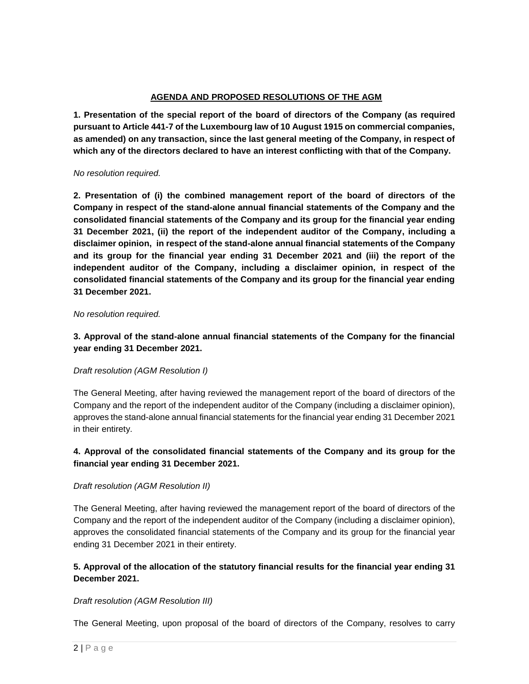### **AGENDA AND PROPOSED RESOLUTIONS OF THE AGM**

**1. Presentation of the special report of the board of directors of the Company (as required pursuant to Article 441-7 of the Luxembourg law of 10 August 1915 on commercial companies, as amended) on any transaction, since the last general meeting of the Company, in respect of which any of the directors declared to have an interest conflicting with that of the Company.**

#### *No resolution required.*

**2. Presentation of (i) the combined management report of the board of directors of the Company in respect of the stand-alone annual financial statements of the Company and the consolidated financial statements of the Company and its group for the financial year ending 31 December 2021, (ii) the report of the independent auditor of the Company, including a disclaimer opinion, in respect of the stand-alone annual financial statements of the Company and its group for the financial year ending 31 December 2021 and (iii) the report of the independent auditor of the Company, including a disclaimer opinion, in respect of the consolidated financial statements of the Company and its group for the financial year ending 31 December 2021.**

#### *No resolution required.*

## **3. Approval of the stand-alone annual financial statements of the Company for the financial year ending 31 December 2021.**

### *Draft resolution (AGM Resolution I)*

The General Meeting, after having reviewed the management report of the board of directors of the Company and the report of the independent auditor of the Company (including a disclaimer opinion), approves the stand-alone annual financial statements for the financial year ending 31 December 2021 in their entirety.

### **4. Approval of the consolidated financial statements of the Company and its group for the financial year ending 31 December 2021.**

### *Draft resolution (AGM Resolution II)*

The General Meeting, after having reviewed the management report of the board of directors of the Company and the report of the independent auditor of the Company (including a disclaimer opinion), approves the consolidated financial statements of the Company and its group for the financial year ending 31 December 2021 in their entirety.

## **5. Approval of the allocation of the statutory financial results for the financial year ending 31 December 2021.**

### *Draft resolution (AGM Resolution III)*

The General Meeting, upon proposal of the board of directors of the Company, resolves to carry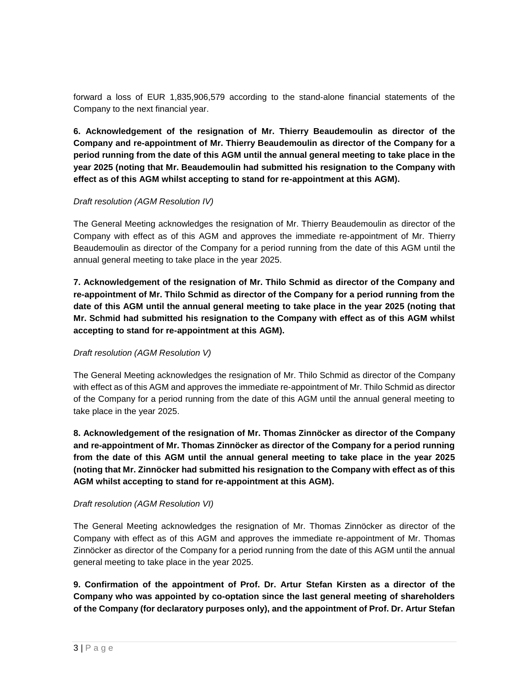forward a loss of EUR 1,835,906,579 according to the stand-alone financial statements of the Company to the next financial year.

**6. Acknowledgement of the resignation of Mr. Thierry Beaudemoulin as director of the Company and re-appointment of Mr. Thierry Beaudemoulin as director of the Company for a period running from the date of this AGM until the annual general meeting to take place in the year 2025 (noting that Mr. Beaudemoulin had submitted his resignation to the Company with effect as of this AGM whilst accepting to stand for re-appointment at this AGM).**

### *Draft resolution (AGM Resolution IV)*

The General Meeting acknowledges the resignation of Mr. Thierry Beaudemoulin as director of the Company with effect as of this AGM and approves the immediate re-appointment of Mr. Thierry Beaudemoulin as director of the Company for a period running from the date of this AGM until the annual general meeting to take place in the year 2025.

**7. Acknowledgement of the resignation of Mr. Thilo Schmid as director of the Company and re-appointment of Mr. Thilo Schmid as director of the Company for a period running from the date of this AGM until the annual general meeting to take place in the year 2025 (noting that Mr. Schmid had submitted his resignation to the Company with effect as of this AGM whilst accepting to stand for re-appointment at this AGM).**

### *Draft resolution (AGM Resolution V)*

The General Meeting acknowledges the resignation of Mr. Thilo Schmid as director of the Company with effect as of this AGM and approves the immediate re-appointment of Mr. Thilo Schmid as director of the Company for a period running from the date of this AGM until the annual general meeting to take place in the year 2025.

**8. Acknowledgement of the resignation of Mr. Thomas Zinnöcker as director of the Company and re-appointment of Mr. Thomas Zinnöcker as director of the Company for a period running from the date of this AGM until the annual general meeting to take place in the year 2025 (noting that Mr. Zinnöcker had submitted his resignation to the Company with effect as of this AGM whilst accepting to stand for re-appointment at this AGM).**

### *Draft resolution (AGM Resolution VI)*

The General Meeting acknowledges the resignation of Mr. Thomas Zinnöcker as director of the Company with effect as of this AGM and approves the immediate re-appointment of Mr. Thomas Zinnöcker as director of the Company for a period running from the date of this AGM until the annual general meeting to take place in the year 2025.

**9. Confirmation of the appointment of Prof. Dr. Artur Stefan Kirsten as a director of the Company who was appointed by co-optation since the last general meeting of shareholders of the Company (for declaratory purposes only), and the appointment of Prof. Dr. Artur Stefan**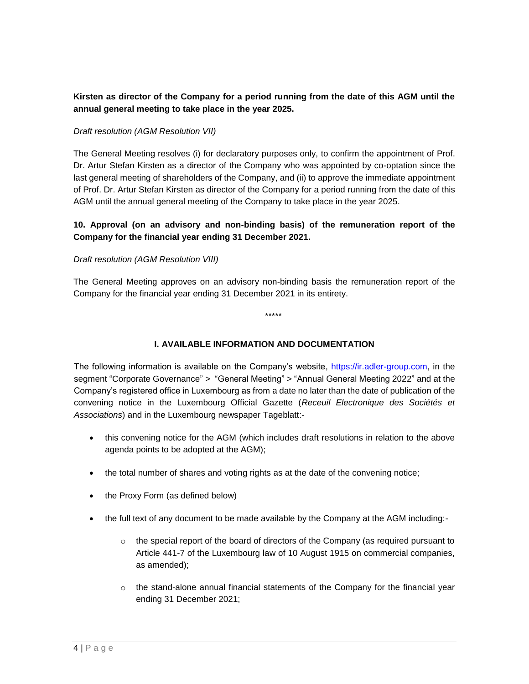## **Kirsten as director of the Company for a period running from the date of this AGM until the annual general meeting to take place in the year 2025.**

### *Draft resolution (AGM Resolution VII)*

The General Meeting resolves (i) for declaratory purposes only, to confirm the appointment of Prof. Dr. Artur Stefan Kirsten as a director of the Company who was appointed by co-optation since the last general meeting of shareholders of the Company, and (ii) to approve the immediate appointment of Prof. Dr. Artur Stefan Kirsten as director of the Company for a period running from the date of this AGM until the annual general meeting of the Company to take place in the year 2025.

### **10. Approval (on an advisory and non-binding basis) of the remuneration report of the Company for the financial year ending 31 December 2021.**

#### *Draft resolution (AGM Resolution VIII)*

The General Meeting approves on an advisory non-binding basis the remuneration report of the Company for the financial year ending 31 December 2021 in its entirety.

\*\*\*\*\*

### **I. AVAILABLE INFORMATION AND DOCUMENTATION**

The following information is available on the Company's website, [https://ir.adler-group.com,](https://ir.adler-group.com/) in the segment "Corporate Governance" *>* "General Meeting" *>* "Annual General Meeting 2022" and at the Company's registered office in Luxembourg as from a date no later than the date of publication of the convening notice in the Luxembourg Official Gazette (*Receuil Electronique des Sociétés et Associations*) and in the Luxembourg newspaper Tageblatt:-

- this convening notice for the AGM (which includes draft resolutions in relation to the above agenda points to be adopted at the AGM);
- the total number of shares and voting rights as at the date of the convening notice;
- the Proxy Form (as defined below)
- the full text of any document to be made available by the Company at the AGM including:-
	- $\circ$  the special report of the board of directors of the Company (as required pursuant to Article 441-7 of the Luxembourg law of 10 August 1915 on commercial companies, as amended);
	- $\circ$  the stand-alone annual financial statements of the Company for the financial year ending 31 December 2021;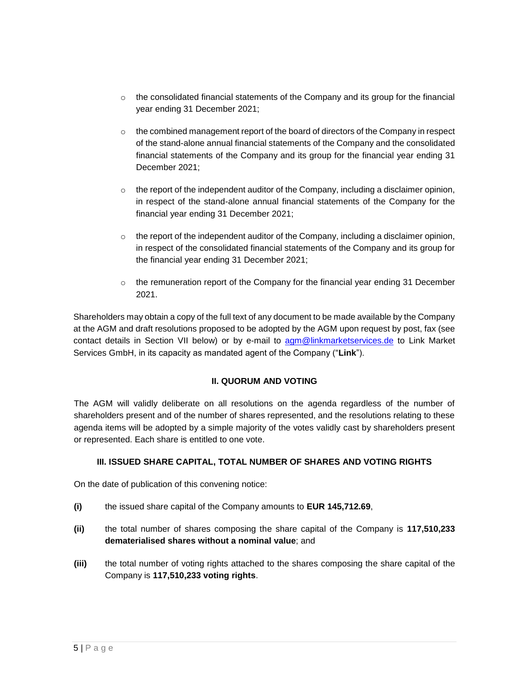- $\circ$  the consolidated financial statements of the Company and its group for the financial year ending 31 December 2021;
- $\circ$  the combined management report of the board of directors of the Company in respect of the stand-alone annual financial statements of the Company and the consolidated financial statements of the Company and its group for the financial year ending 31 December 2021;
- $\circ$  the report of the independent auditor of the Company, including a disclaimer opinion, in respect of the stand-alone annual financial statements of the Company for the financial year ending 31 December 2021;
- $\circ$  the report of the independent auditor of the Company, including a disclaimer opinion, in respect of the consolidated financial statements of the Company and its group for the financial year ending 31 December 2021;
- $\circ$  the remuneration report of the Company for the financial year ending 31 December 2021.

Shareholders may obtain a copy of the full text of any document to be made available by the Company at the AGM and draft resolutions proposed to be adopted by the AGM upon request by post, fax (see contact details in Section VII below) or by e-mail to [agm@linkmarketservices.de](mailto:agm@linkmarketservices.de) to Link Market Services GmbH, in its capacity as mandated agent of the Company ("**Link**").

### **II. QUORUM AND VOTING**

The AGM will validly deliberate on all resolutions on the agenda regardless of the number of shareholders present and of the number of shares represented, and the resolutions relating to these agenda items will be adopted by a simple majority of the votes validly cast by shareholders present or represented. Each share is entitled to one vote.

### **III. ISSUED SHARE CAPITAL, TOTAL NUMBER OF SHARES AND VOTING RIGHTS**

On the date of publication of this convening notice:

- **(i)** the issued share capital of the Company amounts to **EUR 145,712.69**,
- **(ii)** the total number of shares composing the share capital of the Company is **117,510,233 dematerialised shares without a nominal value**; and
- **(iii)** the total number of voting rights attached to the shares composing the share capital of the Company is **117,510,233 voting rights**.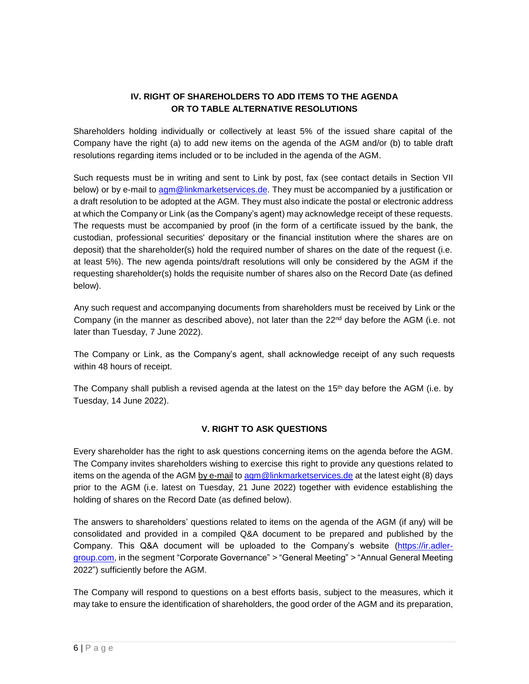# **IV. RIGHT OF SHAREHOLDERS TO ADD ITEMS TO THE AGENDA OR TO TABLE ALTERNATIVE RESOLUTIONS**

Shareholders holding individually or collectively at least 5% of the issued share capital of the Company have the right (a) to add new items on the agenda of the AGM and/or (b) to table draft resolutions regarding items included or to be included in the agenda of the AGM.

Such requests must be in writing and sent to Link by post, fax (see contact details in Section VII below) or by e-mail to [agm@linkmarketservices.de.](mailto:agm@linkmarketservices.de) They must be accompanied by a justification or a draft resolution to be adopted at the AGM. They must also indicate the postal or electronic address at which the Company or Link (as the Company's agent) may acknowledge receipt of these requests. The requests must be accompanied by proof (in the form of a certificate issued by the bank, the custodian, professional securities' depositary or the financial institution where the shares are on deposit) that the shareholder(s) hold the required number of shares on the date of the request (i.e. at least 5%). The new agenda points/draft resolutions will only be considered by the AGM if the requesting shareholder(s) holds the requisite number of shares also on the Record Date (as defined below).

Any such request and accompanying documents from shareholders must be received by Link or the Company (in the manner as described above), not later than the  $22<sup>nd</sup>$  day before the AGM (i.e. not later than Tuesday, 7 June 2022).

The Company or Link, as the Company's agent, shall acknowledge receipt of any such requests within 48 hours of receipt.

The Company shall publish a revised agenda at the latest on the 15<sup>th</sup> day before the AGM (i.e. by Tuesday, 14 June 2022).

## **V. RIGHT TO ASK QUESTIONS**

Every shareholder has the right to ask questions concerning items on the agenda before the AGM. The Company invites shareholders wishing to exercise this right to provide any questions related to items on the agenda of the AGM by e-mail to [agm@linkmarketservices.de](mailto:agm@linkmarketservices.de) at the latest eight (8) days prior to the AGM (i.e. latest on Tuesday, 21 June 2022) together with evidence establishing the holding of shares on the Record Date (as defined below).

The answers to shareholders' questions related to items on the agenda of the AGM (if any) will be consolidated and provided in a compiled Q&A document to be prepared and published by the Company. This Q&A document will be uploaded to the Company's website [\(https://ir.adler](https://ir.adler-group.com/)[group.com,](https://ir.adler-group.com/) in the segment "Corporate Governance" *>* "General Meeting" *>* "Annual General Meeting 2022") sufficiently before the AGM.

The Company will respond to questions on a best efforts basis, subject to the measures, which it may take to ensure the identification of shareholders, the good order of the AGM and its preparation,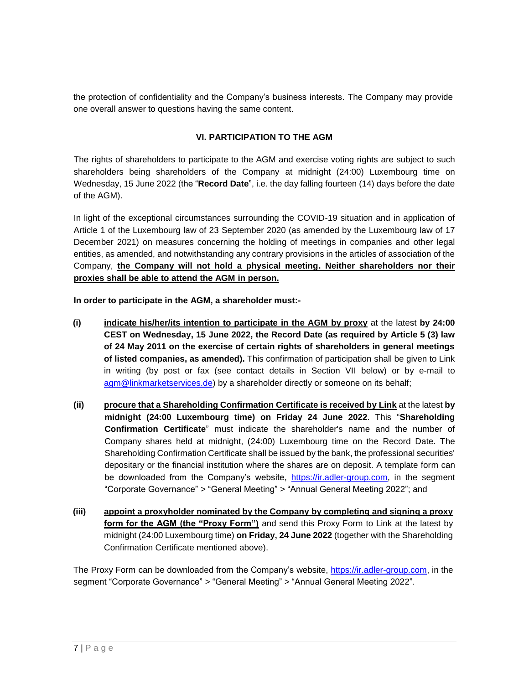the protection of confidentiality and the Company's business interests. The Company may provide one overall answer to questions having the same content.

## **VI. PARTICIPATION TO THE AGM**

The rights of shareholders to participate to the AGM and exercise voting rights are subject to such shareholders being shareholders of the Company at midnight (24:00) Luxembourg time on Wednesday, 15 June 2022 (the "**Record Date**", i.e. the day falling fourteen (14) days before the date of the AGM).

In light of the exceptional circumstances surrounding the COVID-19 situation and in application of Article 1 of the Luxembourg law of 23 September 2020 (as amended by the Luxembourg law of 17 December 2021) on measures concerning the holding of meetings in companies and other legal entities, as amended, and notwithstanding any contrary provisions in the articles of association of the Company, **the Company will not hold a physical meeting. Neither shareholders nor their proxies shall be able to attend the AGM in person.**

**In order to participate in the AGM, a shareholder must:-**

- **(i) indicate his/her/its intention to participate in the AGM by proxy** at the latest **by 24:00 CEST on Wednesday, 15 June 2022, the Record Date (as required by Article 5 (3) law of 24 May 2011 on the exercise of certain rights of shareholders in general meetings of listed companies, as amended).** This confirmation of participation shall be given to Link in writing (by post or fax (see contact details in Section VII below) or by e-mail to [agm@linkmarketservices.de\)](mailto:agm@linkmarketservices.de) by a shareholder directly or someone on its behalf;
- **(ii) procure that a Shareholding Confirmation Certificate is received by Link** at the latest **by midnight (24:00 Luxembourg time) on Friday 24 June 2022**. This "**Shareholding Confirmation Certificate**" must indicate the shareholder's name and the number of Company shares held at midnight, (24:00) Luxembourg time on the Record Date. The Shareholding Confirmation Certificate shall be issued by the bank, the professional securities' depositary or the financial institution where the shares are on deposit. A template form can be downloaded from the Company's website, [https://ir.adler-group.com,](https://ir.adler-group.com/) in the segment "Corporate Governance" *>* "General Meeting" *>* "Annual General Meeting 2022"; and
- **(iii) appoint a proxyholder nominated by the Company by completing and signing a proxy form for the AGM (the "Proxy Form")** and send this Proxy Form to Link at the latest by midnight (24:00 Luxembourg time) **on Friday, 24 June 2022** (together with the Shareholding Confirmation Certificate mentioned above).

The Proxy Form can be downloaded from the Company's website, [https://ir.adler-group.com,](https://ir.adler-group.com/) in the segment "Corporate Governance" *>* "General Meeting" *>* "Annual General Meeting 2022".